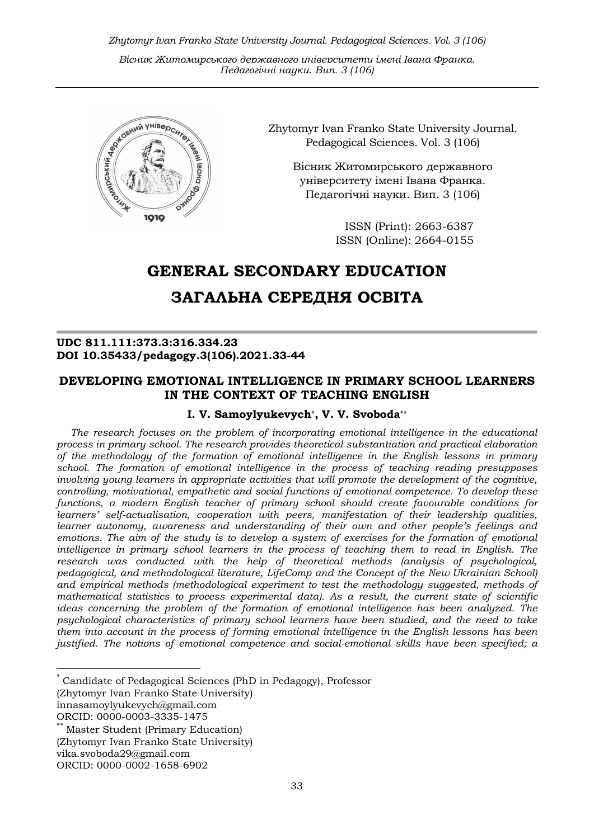Zhytomyr Ivan Franko State University Journal. Рedagogical Sciences. Vol. 3 (106)

Вісник Житомирського державного університету імені Івана Франка. Педагогічні науки. Вип. 3 (106)



Zhytomyr Ivan Franko State University Journal. Рedagogical Sciences. Vol. 3 (106)

> Вісник Житомирського державного університету імені Івана Франка. Педагогічні науки. Вип. 3 (106)

> > ISSN (Print): 2663-6387 ISSN (Online): 2664-0155

# GENERAL SECONDARY EDUCATION

## ЗАГАЛЬНА СЕРЕДНЯ ОСВІТА

## UDC 811.111:373.3:316.334.23 DOI 10.35433/pedagogy.3(106).2021.33-44

## DEVELOPING EMOTIONAL INTELLIGENCE IN PRIMARY SCHOOL LEARNERS IN THE CONTEXT OF TEACHING ENGLISH

## I. V. Samoylyukevych\*, V. V. Svoboda\*\*

The research focuses on the problem of incorporating emotional intelligence in the educational process in primary school. The research provides theoretical substantiation and practical elaboration of the methodology of the formation of emotional intelligence in the English lessons in primary school. The formation of emotional intelligence in the process of teaching reading presupposes involving young learners in appropriate activities that will promote the development of the cognitive, controlling, motivational, empathetic and social functions of emotional competence. To develop these functions, a modern English teacher of primary school should create favourable conditions for learners' self-actualisation, cooperation with peers, manifestation of their leadership qualities, learner autonomy, awareness and understanding of their own and other people's feelings and emotions. The aim of the study is to develop a system of exercises for the formation of emotional intelligence in primary school learners in the process of teaching them to read in English. The research was conducted with the help of theoretical methods (analysis of psychological, pedagogical, and methodological literature, LifeComp and the Concept of the New Ukrainian School) and empirical methods (methodological experiment to test the methodology suggested, methods of mathematical statistics to process experimental data). As a result, the current state of scientific ideas concerning the problem of the formation of emotional intelligence has been analyzed. The psychological characteristics of primary school learners have been studied, and the need to take them into account in the process of forming emotional intelligence in the English lessons has been justified. The notions of emotional competence and social-emotional skills have been specified; a

<sup>\*</sup> Candidate of Pedagogical Sciences (PhD in Pedagogy), Professor (Zhytomyr Ivan Franko State University) innasamoylyukevych@gmail.com ORCID: 0000-0003-3335-1475

**Master Student (Primary Education)** 

<sup>(</sup>Zhytomyr Ivan Franko State University)

vika.svoboda29@gmail.com

ORCID: 0000-0002-1658-6902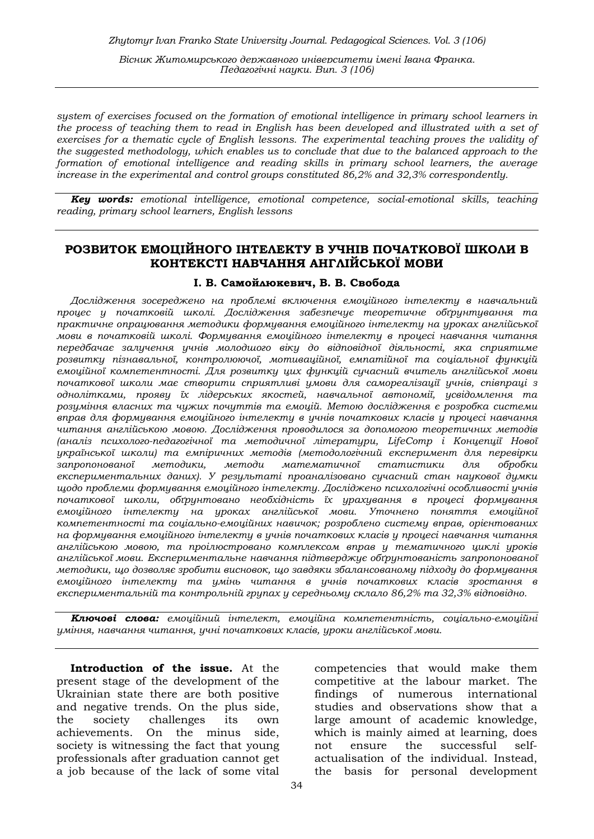system of exercises focused on the formation of emotional intelligence in primary school learners in the process of teaching them to read in English has been developed and illustrated with a set of exercises for a thematic cycle of English lessons. The experimental teaching proves the validity of the suggested methodology, which enables us to conclude that due to the balanced approach to the formation of emotional intelligence and reading skills in primary school learners, the average increase in the experimental and control groups constituted 86,2% and 32,3% correspondently.

**Key words:** emotional intelligence, emotional competence, social-emotional skills, teaching reading, primary school learners, English lessons

## РОЗВИТОК ЕМОЦІЙНОГО ІНТЕЛЕКТУ В УЧНІВ ПОЧАТКОВОЇ ШКОЛИ В КОНТЕКСТІ НАВЧАННЯ АНГЛІЙСЬКОЇ МОВИ

#### І. В. Самойлюкевич, В. В. Свобода

Дослідження зосереджено на проблемі включення емоційного інтелекту в навчальний процес у початковій школі. Дослідження забезпечує теоретичне обґрунтування та практичне опрацювання методики формування емоційного інтелекту на уроках англійської мови в початковій школі. Формування емоційного інтелекту в процесі навчання читання передбачає залучення учнів молодшого віку до відповідної діяльності, яка сприятиме розвитку пізнавальної, контролюючої, мотиваційної, емпатійної та соціальної функцій емоційної компетентності. Для розвитку цих функцій сучасний вчитель англійської мови початкової школи має створити сприятливі умови для самореалізації учнів, співпраці з однолітками, прояву їх лідерських якостей, навчальної автономії, усвідомлення та розуміння власних та чужих почуттів та емоцій. Метою дослідження є розробка системи вправ для формування емоційного інтелекту в учнів початкових класів у процесі навчання читання англійською мовою. Дослідження проводилося за допомогою теоретичних методів (аналіз психолого-педагогічної та методичної літератури, LifeComp і Концепції Нової української школи) та емпіричних методів (методологічний експеримент для перевірки запропонованої методики, методи математичної статистики для обробки експериментальних даних). У результаті проаналізовано сучасний стан наукової думки щодо проблеми формування емоційного інтелекту. Досліджено психологічні особливості учнів початкової школи, обґрунтовано необхідність їх урахування в процесі формування емоційного інтелекту на уроках англійської мови. Уточнено поняття емоційної компетентності та соціально-емоційних навичок; розроблено систему вправ, орієнтованих на формування емоційного інтелекту в учнів початкових класів у процесі навчання читання англійською мовою, та проілюстровано комплексом вправ у тематичного циклі уроків англійської мови. Експериментальне навчання підтверджує обґрунтованість запропонованої методики, що дозволяє зробити висновок, що завдяки збалансованому підходу до формування емоційного інтелекту та умінь читання в учнів початкових класів зростання в експериментальній та контрольній групах у середньому склало 86,2% та 32,3% відповідно.

Ключові слова: емоційний інтелект, емоційна компетентність, соціально-емоційні уміння, навчання читання, учні початкових класів, уроки англійської мови.

Introduction of the issue. At the present stage of the development of the Ukrainian state there are both positive and negative trends. On the plus side, the society challenges its own achievements. On the minus side, society is witnessing the fact that young professionals after graduation cannot get a job because of the lack of some vital

competencies that would make them competitive at the labour market. The findings of numerous international studies and observations show that a large amount of academic knowledge, which is mainly aimed at learning, does not ensure the successful selfactualisation of the individual. Instead, the basis for personal development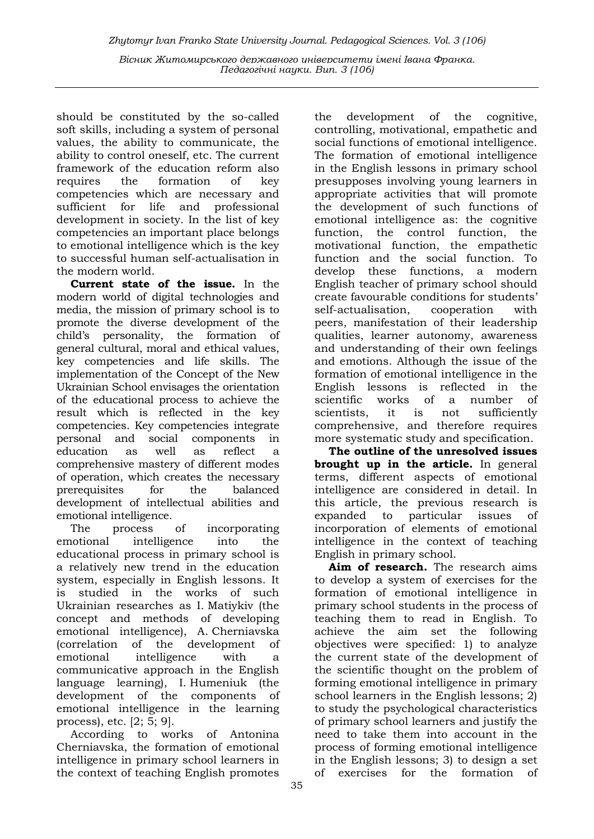should be constituted by the so-called soft skills, including a system of personal values, the ability to communicate, the ability to control oneself, etc. The current framework of the education reform also requires the formation of key competencies which are necessary and sufficient for life and professional development in society. In the list of key competencies an important place belongs to emotional intelligence which is the key to successful human self-actualisation in the modern world.

Current state of the issue. In the modern world of digital technologies and media, the mission of primary school is to promote the diverse development of the child's personality, the formation of general cultural, moral and ethical values, key competencies and life skills. The implementation of the Concept of the New Ukrainian School envisages the orientation of the educational process to achieve the result which is reflected in the key competencies. Key competencies integrate personal and social components in education as well as reflect a comprehensive mastery of different modes of operation, which creates the necessary prerequisites for the balanced development of intellectual abilities and emotional intelligence.

The process of incorporating emotional intelligence into the educational process in primary school is a relatively new trend in the education system, especially in English lessons. It is studied in the works of such Ukrainian researches as I. Matiykiv (the concept and methods of developing emotional intelligence), A. Cherniavska (correlation of the development of emotional intelligence with a communicative approach in the English language learning), I. Humeniuk (the development of the components of emotional intelligence in the learning process), etc. [2; 5; 9].

According to works of Antonina Cherniavska, the formation of emotional intelligence in primary school learners in the context of teaching English promotes

the development of the cognitive, controlling, motivational, empathetic and social functions of emotional intelligence. The formation of emotional intelligence in the English lessons in primary school presupposes involving young learners in appropriate activities that will promote the development of such functions of emotional intelligence as: the cognitive function, the control function, the motivational function, the empathetic function and the social function. To develop these functions, a modern English teacher of primary school should create favourable conditions for students' self-actualisation, cooperation with peers, manifestation of their leadership qualities, learner autonomy, awareness and understanding of their own feelings and emotions. Although the issue of the formation of emotional intelligence in the English lessons is reflected in the scientific works of a number of scientists, it is not sufficiently comprehensive, and therefore requires more systematic study and specification.

The outline of the unresolved issues brought up in the article. In general terms, different aspects of emotional intelligence are considered in detail. In this article, the previous research is expanded to particular issues of incorporation of elements of emotional intelligence in the context of teaching English in primary school.

Aim of research. The research aims to develop a system of exercises for the formation of emotional intelligence in primary school students in the process of teaching them to read in English. To achieve the aim set the following objectives were specified: 1) to analyze the current state of the development of the scientific thought on the problem of forming emotional intelligence in primary school learners in the English lessons; 2) to study the psychological characteristics of primary school learners and justify the need to take them into account in the process of forming emotional intelligence in the English lessons; 3) to design a set of exercises for the formation of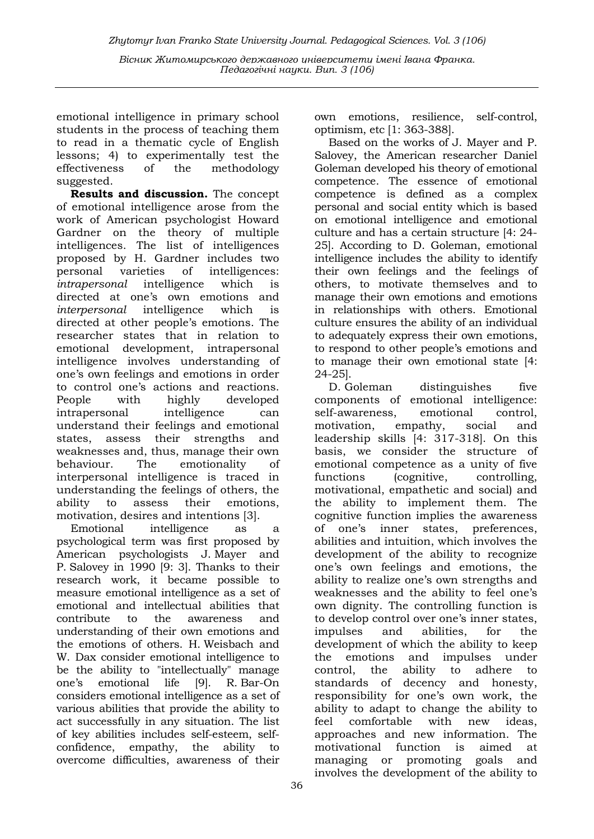emotional intelligence in primary school students in the process of teaching them to read in a thematic cycle of English lessons; 4) to experimentally test the effectiveness of the methodology suggested.

Results and discussion. The concept of emotional intelligence arose from the work of American psychologist Howard Gardner on the theory of multiple intelligences. The list of intelligences proposed by H. Gardner includes two personal varieties of intelligences: intrapersonal intelligence which is directed at one's own emotions and interpersonal intelligence which is directed at other people's emotions. The researcher states that in relation to emotional development, intrapersonal intelligence involves understanding of one's own feelings and emotions in order to control one's actions and reactions. People with highly developed intrapersonal intelligence can understand their feelings and emotional states, assess their strengths and weaknesses and, thus, manage their own behaviour. The emotionality of interpersonal intelligence is traced in understanding the feelings of others, the ability to assess their emotions, motivation, desires and intentions [3].

Emotional intelligence as a psychological term was first proposed by American psychologists J. Mayer and P. Salovey in 1990 [9: 3]. Thanks to their research work, it became possible to measure emotional intelligence as a set of emotional and intellectual abilities that contribute to the awareness and understanding of their own emotions and the emotions of others. H. Weisbach and W. Dax consider emotional intelligence to be the ability to "intellectually" manage one's emotional life [9]. R. Bar-On considers emotional intelligence as a set of various abilities that provide the ability to act successfully in any situation. The list of key abilities includes self-esteem, selfconfidence, empathy, the ability to overcome difficulties, awareness of their

competence is defined as a complex personal and social entity which is based

optimism, etc [1: 363-388].

own emotions, resilience, self-control,

Based on the works of J. Mayer and P. Salovey, the American researcher Daniel Goleman developed his theory of emotional competence. The essence of emotional

on emotional intelligence and emotional culture and has a certain structure [4: 24- 25]. According to D. Goleman, emotional intelligence includes the ability to identify their own feelings and the feelings of others, to motivate themselves and to manage their own emotions and emotions in relationships with others. Emotional culture ensures the ability of an individual to adequately express their own emotions, to respond to other people's emotions and to manage their own emotional state [4: 24-25].

D. Goleman distinguishes five components of emotional intelligence: self-awareness, emotional control, motivation, empathy, social and leadership skills [4: 317-318]. On this basis, we consider the structure of emotional competence as a unity of five functions (cognitive, controlling, motivational, empathetic and social) and the ability to implement them. The cognitive function implies the awareness of one's inner states, preferences, abilities and intuition, which involves the development of the ability to recognize one's own feelings and emotions, the ability to realize one's own strengths and weaknesses and the ability to feel one's own dignity. The controlling function is to develop control over one's inner states, impulses and abilities, for the development of which the ability to keep the emotions and impulses under control, the ability to adhere to standards of decency and honesty, responsibility for one's own work, the ability to adapt to change the ability to feel comfortable with new ideas, approaches and new information. The motivational function is aimed at managing or promoting goals and involves the development of the ability to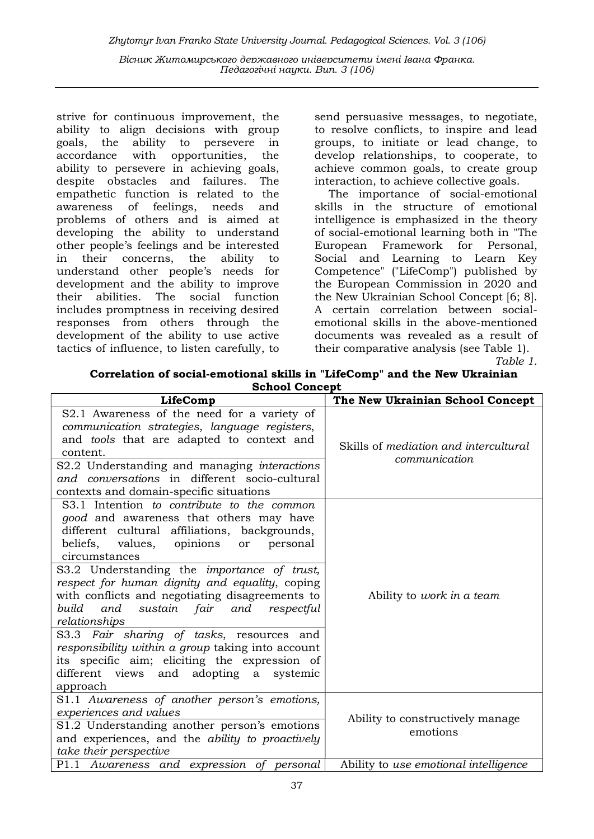strive for continuous improvement, the ability to align decisions with group goals, the ability to persevere in accordance with opportunities, the ability to persevere in achieving goals, despite obstacles and failures. The empathetic function is related to the awareness of feelings, needs and problems of others and is aimed at developing the ability to understand other people's feelings and be interested in their concerns, the ability to understand other people's needs for development and the ability to improve their abilities. The social function includes promptness in receiving desired responses from others through the development of the ability to use active tactics of influence, to listen carefully, to

send persuasive messages, to negotiate, to resolve conflicts, to inspire and lead groups, to initiate or lead change, to develop relationships, to cooperate, to achieve common goals, to create group interaction, to achieve collective goals.

The importance of social-emotional skills in the structure of emotional intelligence is emphasized in the theory of social-emotional learning both in "The European Framework for Personal, Social and Learning to Learn Key Competence" ("LifeComp") published by the European Commission in 2020 and the New Ukrainian School Concept [6; 8]. A certain correlation between socialemotional skills in the above-mentioned documents was revealed as a result of their comparative analysis (see Table 1).

Table 1.

| Correlation of social-emotional skills in "LifeComp" and the New Ukrainian |
|----------------------------------------------------------------------------|
| <b>School Concept</b>                                                      |

| LifeComp                                                                                                                                                                                                                                                                                                                                                                                                                                                                                                                                                                                                                                      | The New Ukrainian School Concept                       |
|-----------------------------------------------------------------------------------------------------------------------------------------------------------------------------------------------------------------------------------------------------------------------------------------------------------------------------------------------------------------------------------------------------------------------------------------------------------------------------------------------------------------------------------------------------------------------------------------------------------------------------------------------|--------------------------------------------------------|
| S2.1 Awareness of the need for a variety of<br>communication strategies, language registers,<br>and tools that are adapted to context and<br>content.<br>S2.2 Understanding and managing interactions<br>and conversations in different socio-cultural                                                                                                                                                                                                                                                                                                                                                                                        | Skills of mediation and intercultural<br>communication |
| contexts and domain-specific situations                                                                                                                                                                                                                                                                                                                                                                                                                                                                                                                                                                                                       |                                                        |
| S3.1 Intention to contribute to the common<br>good and awareness that others may have<br>different cultural affiliations, backgrounds,<br>beliefs, values, opinions<br>personal<br>or<br>circumstances<br>S3.2 Understanding the importance of trust,<br>respect for human dignity and equality, coping<br>with conflicts and negotiating disagreements to<br>and<br>build<br>sustain fair<br>and<br>respectful<br>relationships<br>S3.3 Fair sharing of tasks, resources and<br>responsibility within a group taking into account<br>its specific aim; eliciting the expression of<br>different views and adopting a<br>systemic<br>approach | Ability to <i>work</i> in a team                       |
| S1.1 Awareness of another person's emotions,<br>experiences and values<br>S1.2 Understanding another person's emotions<br>and experiences, and the ability to proactively<br>take their perspective                                                                                                                                                                                                                                                                                                                                                                                                                                           | Ability to constructively manage.<br>emotions          |
| P1.1 Awareness and expression of personal                                                                                                                                                                                                                                                                                                                                                                                                                                                                                                                                                                                                     | Ability to use emotional intelligence                  |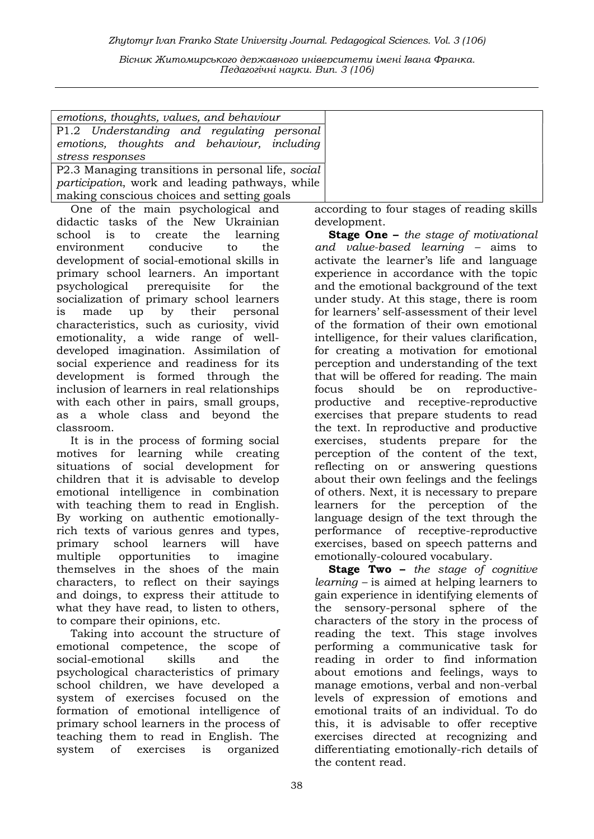|                  |  | emotions, thoughts, values, and behaviour         |  |
|------------------|--|---------------------------------------------------|--|
|                  |  | P1.2 Understanding and regulating personal        |  |
|                  |  | emotions, thoughts and behaviour, including       |  |
| stress responses |  |                                                   |  |
|                  |  | DO 2 Monoging transitions in norsonal life second |  |

P2.3 Managing transitions in personal life, social participation, work and leading pathways, while making conscious choices and setting goals

One of the main psychological and didactic tasks of the New Ukrainian school is to create the learning environment conducive to the development of social-emotional skills in primary school learners. An important psychological prerequisite for the socialization of primary school learners is made up by their personal characteristics, such as curiosity, vivid emotionality, a wide range of welldeveloped imagination. Assimilation of social experience and readiness for its development is formed through the inclusion of learners in real relationships with each other in pairs, small groups, as a whole class and beyond the classroom.

It is in the process of forming social motives for learning while creating situations of social development for children that it is advisable to develop emotional intelligence in combination with teaching them to read in English. By working on authentic emotionallyrich texts of various genres and types, primary school learners will have multiple opportunities to imagine themselves in the shoes of the main characters, to reflect on their sayings and doings, to express their attitude to what they have read, to listen to others, to compare their opinions, etc.

Taking into account the structure of emotional competence, the scope of social-emotional skills and the psychological characteristics of primary school children, we have developed a system of exercises focused on the formation of emotional intelligence of primary school learners in the process of teaching them to read in English. The system of exercises is organized

according to four stages of reading skills development.

Stage One - the stage of motivational and value-based learning – aims to activate the learner's life and language experience in accordance with the topic and the emotional background of the text under study. At this stage, there is room for learners' self-assessment of their level of the formation of their own emotional intelligence, for their values clarification, for creating a motivation for emotional perception and understanding of the text that will be offered for reading. The main focus should be on reproductiveproductive and receptive-reproductive exercises that prepare students to read the text. In reproductive and productive exercises, students prepare for the perception of the content of the text, reflecting on or answering questions about their own feelings and the feelings of others. Next, it is necessary to prepare learners for the perception of the language design of the text through the performance of receptive-reproductive exercises, based on speech patterns and emotionally-coloured vocabulary.

Stage Two - the stage of cognitive learning – is aimed at helping learners to gain experience in identifying elements of the sensory-personal sphere of the characters of the story in the process of reading the text. This stage involves performing a communicative task for reading in order to find information about emotions and feelings, ways to manage emotions, verbal and non-verbal levels of expression of emotions and emotional traits of an individual. To do this, it is advisable to offer receptive exercises directed at recognizing and differentiating emotionally-rich details of the content read.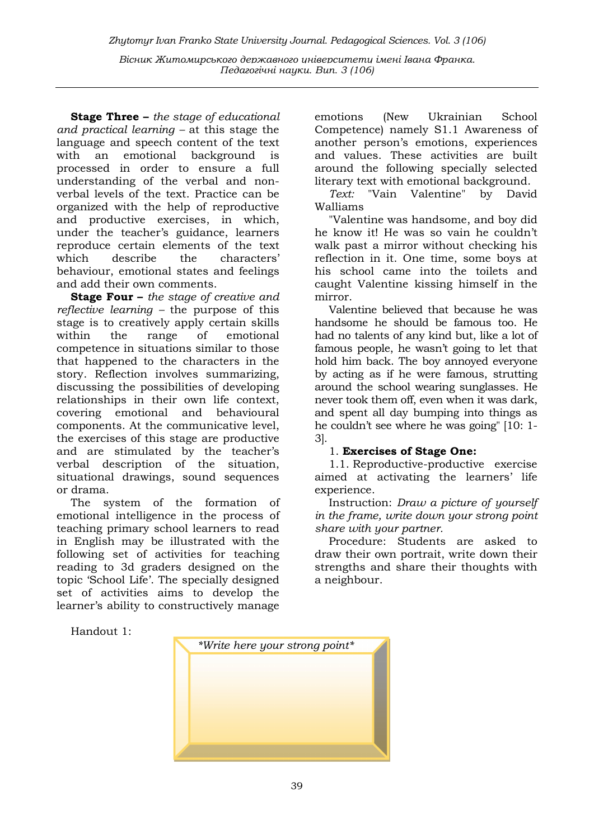**Stage Three –** the stage of educational and practical learning – at this stage the language and speech content of the text with an emotional background is processed in order to ensure a full understanding of the verbal and nonverbal levels of the text. Practice can be organized with the help of reproductive and productive exercises, in which, under the teacher's guidance, learners reproduce certain elements of the text which describe the characters' behaviour, emotional states and feelings and add their own comments.

**Stage Four** – the stage of creative and reflective learning – the purpose of this stage is to creatively apply certain skills within the range of emotional competence in situations similar to those that happened to the characters in the story. Reflection involves summarizing, discussing the possibilities of developing relationships in their own life context, covering emotional and behavioural components. At the communicative level, the exercises of this stage are productive and are stimulated by the teacher's verbal description of the situation, situational drawings, sound sequences or drama.

The system of the formation of emotional intelligence in the process of teaching primary school learners to read in English may be illustrated with the following set of activities for teaching reading to 3d graders designed on the topic 'School Life'. The specially designed set of activities aims to develop the learner's ability to constructively manage

emotions (New Ukrainian School Competence) namely S1.1 Awareness of another person's emotions, experiences and values. These activities are built around the following specially selected literary text with emotional background.

Text: "Vain Valentine" by David Walliams

"Valentine was handsome, and boy did he know it! He was so vain he couldn't walk past a mirror without checking his reflection in it. One time, some boys at his school came into the toilets and caught Valentine kissing himself in the mirror.

Valentine believed that because he was handsome he should be famous too. He had no talents of any kind but, like a lot of famous people, he wasn't going to let that hold him back. The boy annoyed everyone by acting as if he were famous, strutting around the school wearing sunglasses. He never took them off, even when it was dark, and spent all day bumping into things as he couldn't see where he was going" [10: 1- 3].

## 1. Exercises of Stage One:

1.1. Reproductive-productive exercise aimed at activating the learners' life experience.

Instruction: Draw a picture of yourself in the frame, write down your strong point share with your partner.

Procedure: Students are asked to draw their own portrait, write down their strengths and share their thoughts with a neighbour.

Handout 1:

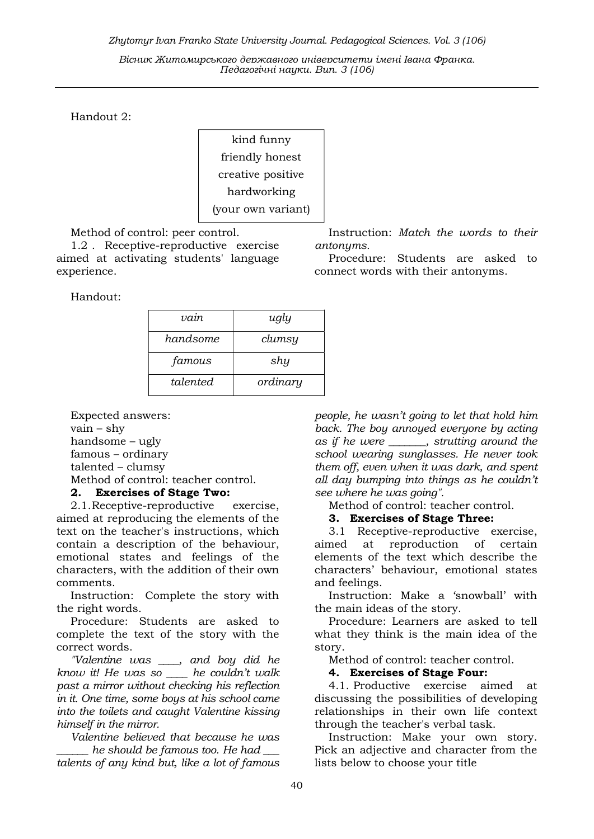Handout 2:

kind funny friendly honest creative positive hardworking (your own variant)

Method of control: peer control.

1.2 . Receptive-reproductive exercise aimed at activating students' language experience.

Handout:

| vain     | ugly     |
|----------|----------|
| handsome | clumsy   |
| famous   | shy      |
| talented | ordinary |

Expected answers: vain – shy handsome – ugly famous – ordinary talented – clumsy Method of control: teacher control.

## 2. Exercises of Stage Two:

2.1.Receptive-reproductive exercise, aimed at reproducing the elements of the text on the teacher's instructions, which contain a description of the behaviour, emotional states and feelings of the characters, with the addition of their own comments.

Instruction: Complete the story with the right words.

Procedure: Students are asked to complete the text of the story with the correct words.

"Valentine was \_\_\_\_, and boy did he know it! He was so \_\_\_\_ he couldn't walk past a mirror without checking his reflection in it. One time, some boys at his school came into the toilets and caught Valentine kissing himself in the mirror.

Valentine believed that because he was he should be famous too. He had talents of any kind but, like a lot of famous

Instruction: Match the words to their antonyms.

Procedure: Students are asked to connect words with their antonyms.

people, he wasn't going to let that hold him back. The boy annoyed everyone by acting as if he were \_\_\_\_\_\_\_, strutting around the school wearing sunglasses. He never took them off, even when it was dark, and spent all day bumping into things as he couldn't see where he was going".

Method of control: teacher control.

### 3. Exercises of Stage Three:

3.1 Receptive-reproductive exercise, aimed at reproduction of certain elements of the text which describe the characters' behaviour, emotional states and feelings.

Instruction: Make a 'snowball' with the main ideas of the story.

Procedure: Learners are asked to tell what they think is the main idea of the story.

Method of control: teacher control.

#### 4. Exercises of Stage Four:

4.1. Productive exercise aimed at discussing the possibilities of developing relationships in their own life context through the teacher's verbal task.

Instruction: Make your own story. Pick an adjective and character from the lists below to choose your title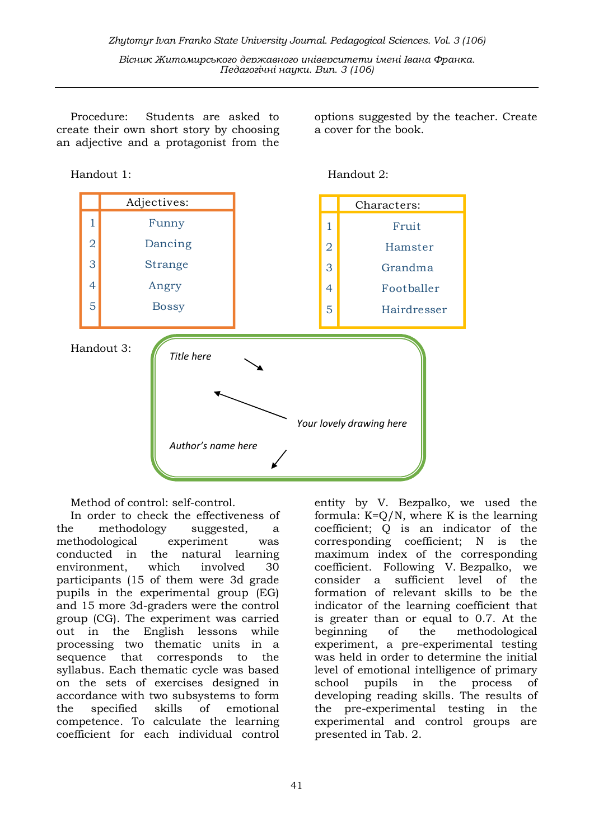Procedure: Students are asked to create their own short story by choosing an adjective and a protagonist from the

options suggested by the teacher. Create a cover for the book.





Method of control: self-control.

In order to check the effectiveness of the methodology suggested, a methodological experiment was conducted in the natural learning environment, which involved 30 participants (15 of them were 3d grade pupils in the experimental group (EG) and 15 more 3d-graders were the control group (CG). The experiment was carried out in the English lessons while processing two thematic units in a sequence that corresponds to the syllabus. Each thematic cycle was based on the sets of exercises designed in accordance with two subsystems to form the specified skills of emotional competence. To calculate the learning coefficient for each individual control

entity by V. Bezpalko, we used the formula:  $K=Q/N$ , where K is the learning coefficient; Q is an indicator of the corresponding coefficient; N is the maximum index of the corresponding coefficient. Following V. Bezpalko, we consider a sufficient level of the formation of relevant skills to be the indicator of the learning coefficient that is greater than or equal to 0.7. At the beginning of the methodological experiment, a pre-experimental testing was held in order to determine the initial level of emotional intelligence of primary school pupils in the process of developing reading skills. The results of the pre-experimental testing in the experimental and control groups are presented in Tab. 2.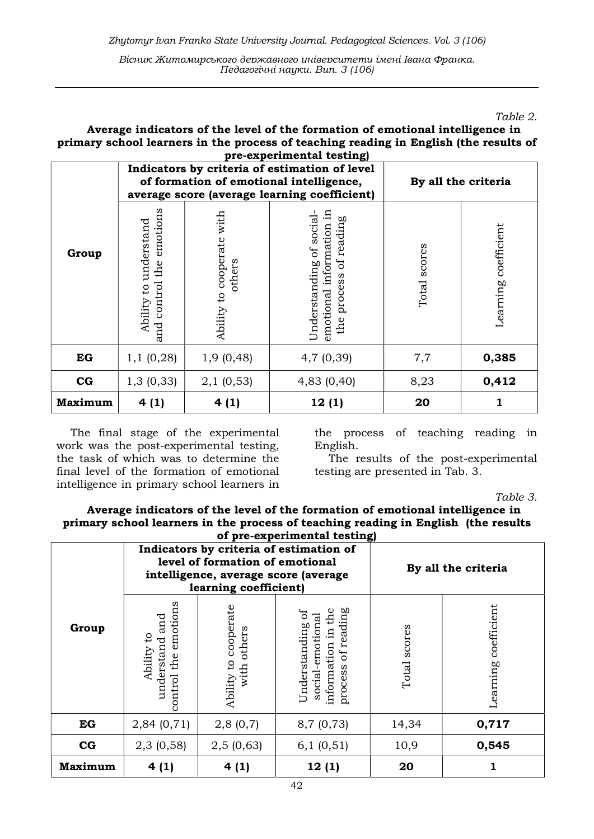Table 2.

#### Average indicators of the level of the formation of emotional intelligence in primary school learners in the process of teaching reading in English (the results of  $v$ nerimental testing)

|             | Indicators by criteria of estimation of level<br>of formation of emotional intelligence,<br>average score (average learning coefficient) |                                           |                                                                                | By all the criteria |                      |
|-------------|------------------------------------------------------------------------------------------------------------------------------------------|-------------------------------------------|--------------------------------------------------------------------------------|---------------------|----------------------|
| Group       | emotions<br>Ability to understand<br>control the<br>and                                                                                  | with<br>cooperate<br>others<br>Ability to | emotional information in<br>Understanding of social-<br>the process of reading | Total scores        | Learning coefficient |
| EG          | 1,1(0,28)                                                                                                                                | 1,9(0,48)                                 | 4,7(0,39)                                                                      | 7,7                 | 0,385                |
| $_{\rm CG}$ | 1,3(0,33)                                                                                                                                | 2,1(0,53)                                 | 4,83 (0,40)                                                                    | 8,23                | 0,412                |
| Maximum     | 4(1)                                                                                                                                     | 4(1)                                      | 12(1)                                                                          | 20                  |                      |

The final stage of the experimental work was the post-experimental testing, the task of which was to determine the final level of the formation of emotional intelligence in primary school learners in the process of teaching reading in English.

The results of the post-experimental testing are presented in Tab. 3.

Table 3.

## Average indicators of the level of the formation of emotional intelligence in primary school learners in the process of teaching reading in English (the results

| of pre-experimental testing)<br>Indicators by criteria of estimation of<br>level of formation of emotional<br>intelligence, average score (average |                                                                         |                                        |                                                                                           | By all the criteria |                      |
|----------------------------------------------------------------------------------------------------------------------------------------------------|-------------------------------------------------------------------------|----------------------------------------|-------------------------------------------------------------------------------------------|---------------------|----------------------|
|                                                                                                                                                    | learning coefficient)                                                   |                                        |                                                                                           |                     |                      |
| Group                                                                                                                                              | emotions<br>and<br>$\mathsf{c}$<br>understand<br>Ability<br>control the | Ability to cooperate<br>others<br>with | of reading<br>the<br>Understanding of<br>social-emotional<br>묘.<br>information<br>process | scores<br>Total:    | Learning coefficient |
| EG                                                                                                                                                 | 2,84(0,71)                                                              | 2,8(0,7)                               | 8,7(0,73)                                                                                 | 14,34               | 0,717                |
| $_{\rm CG}$                                                                                                                                        | 2,3(0,58)                                                               | 2,5(0,63)                              | 6,1(0,51)                                                                                 | 10,9                | 0,545                |
| Maximum                                                                                                                                            | 4(1)                                                                    | 4(1)                                   | 12(1)                                                                                     | 20                  |                      |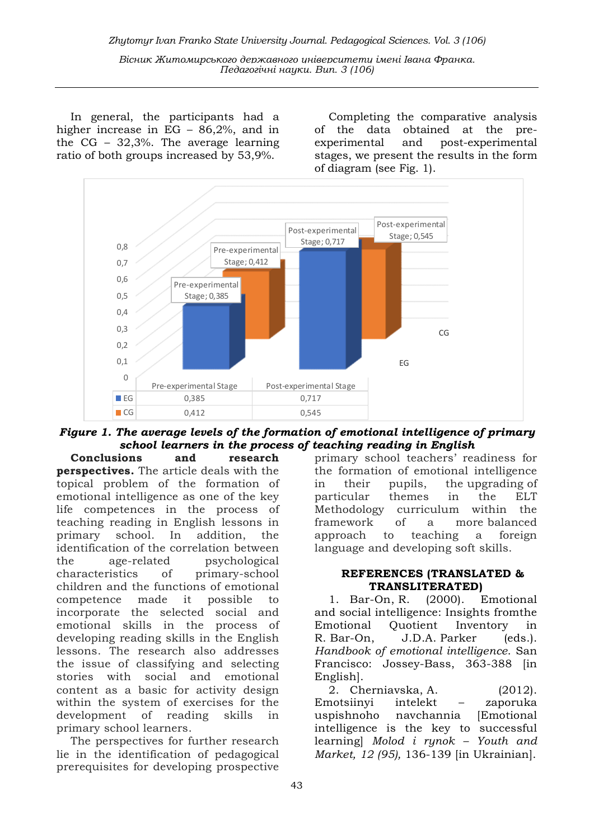In general, the participants had a higher increase in EG – 86,2%, and in the CG – 32,3%. The average learning ratio of both groups increased by 53,9%.

Completing the comparative analysis of the data obtained at the preexperimental and post-experimental stages, we present the results in the form of diagram (see Fig. 1).



Figure 1. The average levels of the formation of emotional intelligence of primary school learners in the process of teaching reading in English

Conclusions and research perspectives. The article deals with the topical problem of the formation of emotional intelligence as one of the key life competences in the process of teaching reading in English lessons in primary school. In addition, the identification of the correlation between the age-related psychological characteristics of primary-school children and the functions of emotional competence made it possible to incorporate the selected social and emotional skills in the process of developing reading skills in the English lessons. The research also addresses the issue of classifying and selecting stories with social and emotional content as a basic for activity design within the system of exercises for the development of reading skills in primary school learners.

The perspectives for further research lie in the identification of pedagogical prerequisites for developing prospective primary school teachers' readiness for the formation of emotional intelligence in their pupils, the upgrading of particular themes in the ELT Methodology curriculum within the framework of a more balanced approach to teaching a foreign language and developing soft skills.

### REFERENCES (TRANSLATED & TRANSLITERATED)

1. Bar-On, R. (2000). Emotional and social intelligence: Insights fromthe Emotional Quotient Inventory in R. Bar-On, J.D.A. Parker (eds.). Handbook of emotional intelligence. San Francisco: Jossey-Bass, 363-388 [in English].

2. Cherniavska, A. (2012). Emotsiinyi intelekt – zaporuka uspishnoho navchannia [Emotional intelligence is the key to successful learning] Molod i rynok – Youth and Market, 12 (95), 136-139 [in Ukrainian].